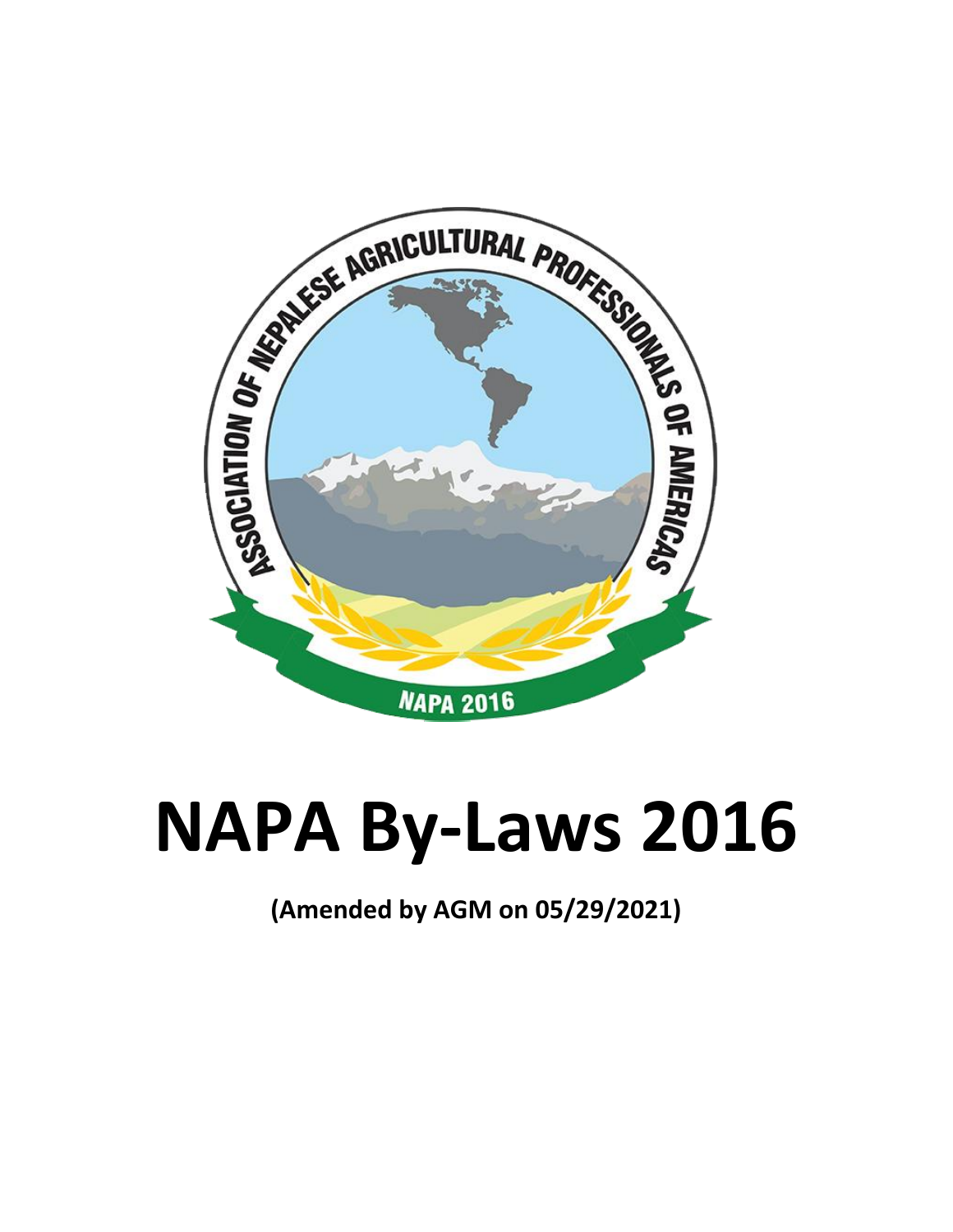

# **NAPA By-Laws 2016**

**(Amended by AGM on 05/29/2021)**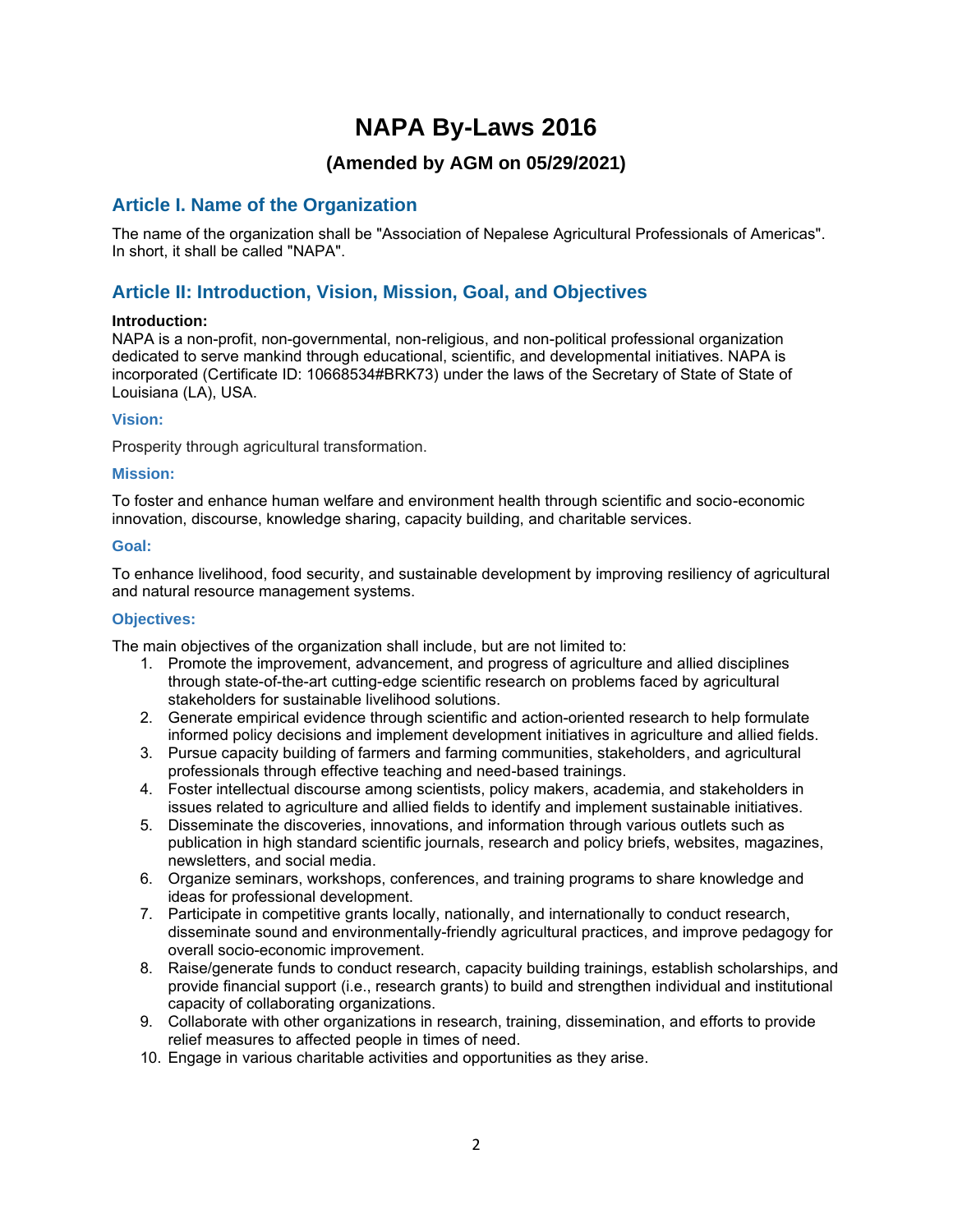## **NAPA By-Laws 2016**

## **(Amended by AGM on 05/29/2021)**

## **Article I. Name of the Organization**

The name of the organization shall be "Association of Nepalese Agricultural Professionals of Americas". In short, it shall be called "NAPA".

## **Article II: Introduction, Vision, Mission, Goal, and Objectives**

#### **Introduction:**

NAPA is a non-profit, non-governmental, non-religious, and non-political professional organization dedicated to serve mankind through educational, scientific, and developmental initiatives. NAPA is incorporated (Certificate ID: 10668534#BRK73) under the laws of the Secretary of State of State of Louisiana (LA), USA.

## **Vision:**

Prosperity through agricultural transformation.

## **Mission:**

To foster and enhance human welfare and environment health through scientific and socio-economic innovation, discourse, knowledge sharing, capacity building, and charitable services.

## **Goal:**

To enhance livelihood, food security, and sustainable development by improving resiliency of agricultural and natural resource management systems.

#### **Objectives:**

The main objectives of the organization shall include, but are not limited to:

- 1. Promote the improvement, advancement, and progress of agriculture and allied disciplines through state-of-the-art cutting-edge scientific research on problems faced by agricultural stakeholders for sustainable livelihood solutions.
- 2. Generate empirical evidence through scientific and action-oriented research to help formulate informed policy decisions and implement development initiatives in agriculture and allied fields.
- 3. Pursue capacity building of farmers and farming communities, stakeholders, and agricultural professionals through effective teaching and need-based trainings.
- 4. Foster intellectual discourse among scientists, policy makers, academia, and stakeholders in issues related to agriculture and allied fields to identify and implement sustainable initiatives.
- 5. Disseminate the discoveries, innovations, and information through various outlets such as publication in high standard scientific journals, research and policy briefs, websites, magazines, newsletters, and social media.
- 6. Organize seminars, workshops, conferences, and training programs to share knowledge and ideas for professional development.
- 7. Participate in competitive grants locally, nationally, and internationally to conduct research, disseminate sound and environmentally-friendly agricultural practices, and improve pedagogy for overall socio-economic improvement.
- 8. Raise/generate funds to conduct research, capacity building trainings, establish scholarships, and provide financial support (i.e., research grants) to build and strengthen individual and institutional capacity of collaborating organizations.
- 9. Collaborate with other organizations in research, training, dissemination, and efforts to provide relief measures to affected people in times of need.
- 10. Engage in various charitable activities and opportunities as they arise.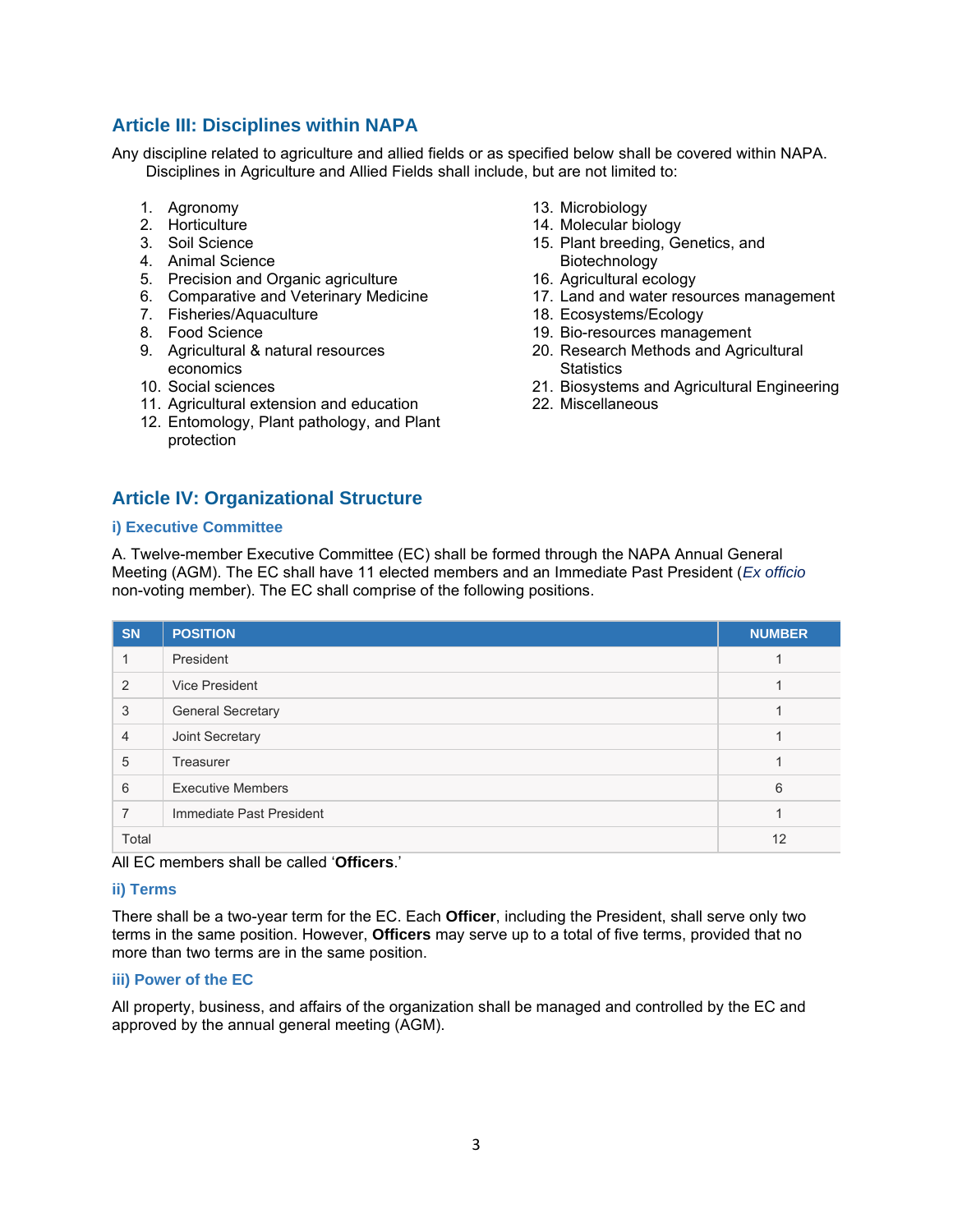## **Article III: Disciplines within NAPA**

Any discipline related to agriculture and allied fields or as specified below shall be covered within NAPA. Disciplines in Agriculture and Allied Fields shall include, but are not limited to:

- 1. Agronomy
- 2. Horticulture
- 3. Soil Science
- 4. Animal Science
- 5. Precision and Organic agriculture
- 6. Comparative and Veterinary Medicine
- 7. Fisheries/Aquaculture
- 8. Food Science
- 9. Agricultural & natural resources economics
- 10. Social sciences
- 11. Agricultural extension and education
- 12. Entomology, Plant pathology, and Plant protection
- **Article IV: Organizational Structure**
- 13. Microbiology
- 14. Molecular biology
- 15. Plant breeding, Genetics, and Biotechnology
- 16. Agricultural ecology
- 17. Land and water resources management
- 18. Ecosystems/Ecology
- 19. Bio-resources management
- 20. Research Methods and Agricultural **Statistics**
- 21. Biosystems and Agricultural Engineering
- 22. Miscellaneous

#### **i) Executive Committee**

A. Twelve-member Executive Committee (EC) shall be formed through the NAPA Annual General Meeting (AGM). The EC shall have 11 elected members and an Immediate Past President (*Ex officio* non-voting member). The EC shall comprise of the following positions.

| <b>SN</b>      | <b>POSITION</b>          | <b>NUMBER</b> |
|----------------|--------------------------|---------------|
|                | President                |               |
| 2              | Vice President           |               |
| 3              | <b>General Secretary</b> |               |
| $\overline{4}$ | Joint Secretary          |               |
| 5              | Treasurer                |               |
| 6              | <b>Executive Members</b> | 6             |
| 7              | Immediate Past President |               |
| Total          | 12                       |               |

All EC members shall be called '**Officers**.'

#### **ii) Terms**

There shall be a two-year term for the EC. Each **Officer**, including the President, shall serve only two terms in the same position. However, **Officers** may serve up to a total of five terms, provided that no more than two terms are in the same position.

#### **iii) Power of the EC**

All property, business, and affairs of the organization shall be managed and controlled by the EC and approved by the annual general meeting (AGM).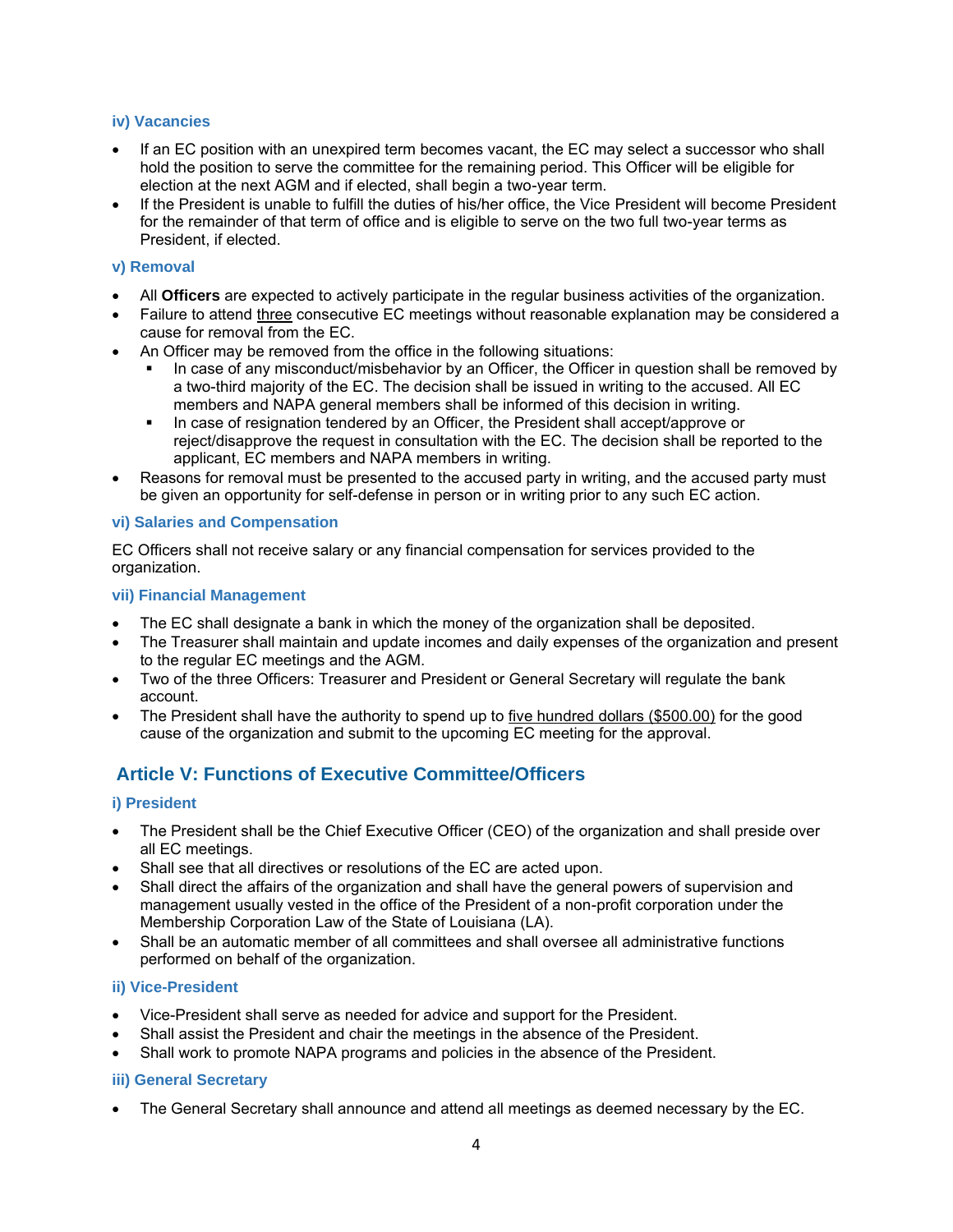#### **iv) Vacancies**

- If an EC position with an unexpired term becomes vacant, the EC may select a successor who shall hold the position to serve the committee for the remaining period. This Officer will be eligible for election at the next AGM and if elected, shall begin a two-year term.
- If the President is unable to fulfill the duties of his/her office, the Vice President will become President for the remainder of that term of office and is eligible to serve on the two full two-year terms as President, if elected.

## **v) Removal**

- All **Officers** are expected to actively participate in the regular business activities of the organization.
- Failure to attend three consecutive EC meetings without reasonable explanation may be considered a cause for removal from the EC.
- An Officer may be removed from the office in the following situations:
	- In case of any misconduct/misbehavior by an Officer, the Officer in question shall be removed by a two-third majority of the EC. The decision shall be issued in writing to the accused. All EC members and NAPA general members shall be informed of this decision in writing.
	- In case of resignation tendered by an Officer, the President shall accept/approve or reject/disapprove the request in consultation with the EC. The decision shall be reported to the applicant, EC members and NAPA members in writing.
- Reasons for removal must be presented to the accused party in writing, and the accused party must be given an opportunity for self-defense in person or in writing prior to any such EC action.

## **vi) Salaries and Compensation**

EC Officers shall not receive salary or any financial compensation for services provided to the organization.

## **vii) Financial Management**

- The EC shall designate a bank in which the money of the organization shall be deposited.
- The Treasurer shall maintain and update incomes and daily expenses of the organization and present to the regular EC meetings and the AGM.
- Two of the three Officers: Treasurer and President or General Secretary will regulate the bank account.
- The President shall have the authority to spend up to five hundred dollars (\$500.00) for the good cause of the organization and submit to the upcoming EC meeting for the approval.

## **Article V: Functions of Executive Committee/Officers**

## **i) President**

- The President shall be the Chief Executive Officer (CEO) of the organization and shall preside over all EC meetings.
- Shall see that all directives or resolutions of the EC are acted upon.
- Shall direct the affairs of the organization and shall have the general powers of supervision and management usually vested in the office of the President of a non-profit corporation under the Membership Corporation Law of the State of Louisiana (LA).
- Shall be an automatic member of all committees and shall oversee all administrative functions performed on behalf of the organization.

## **ii) Vice-President**

- Vice-President shall serve as needed for advice and support for the President.
- Shall assist the President and chair the meetings in the absence of the President.
- Shall work to promote NAPA programs and policies in the absence of the President.

## **iii) General Secretary**

• The General Secretary shall announce and attend all meetings as deemed necessary by the EC.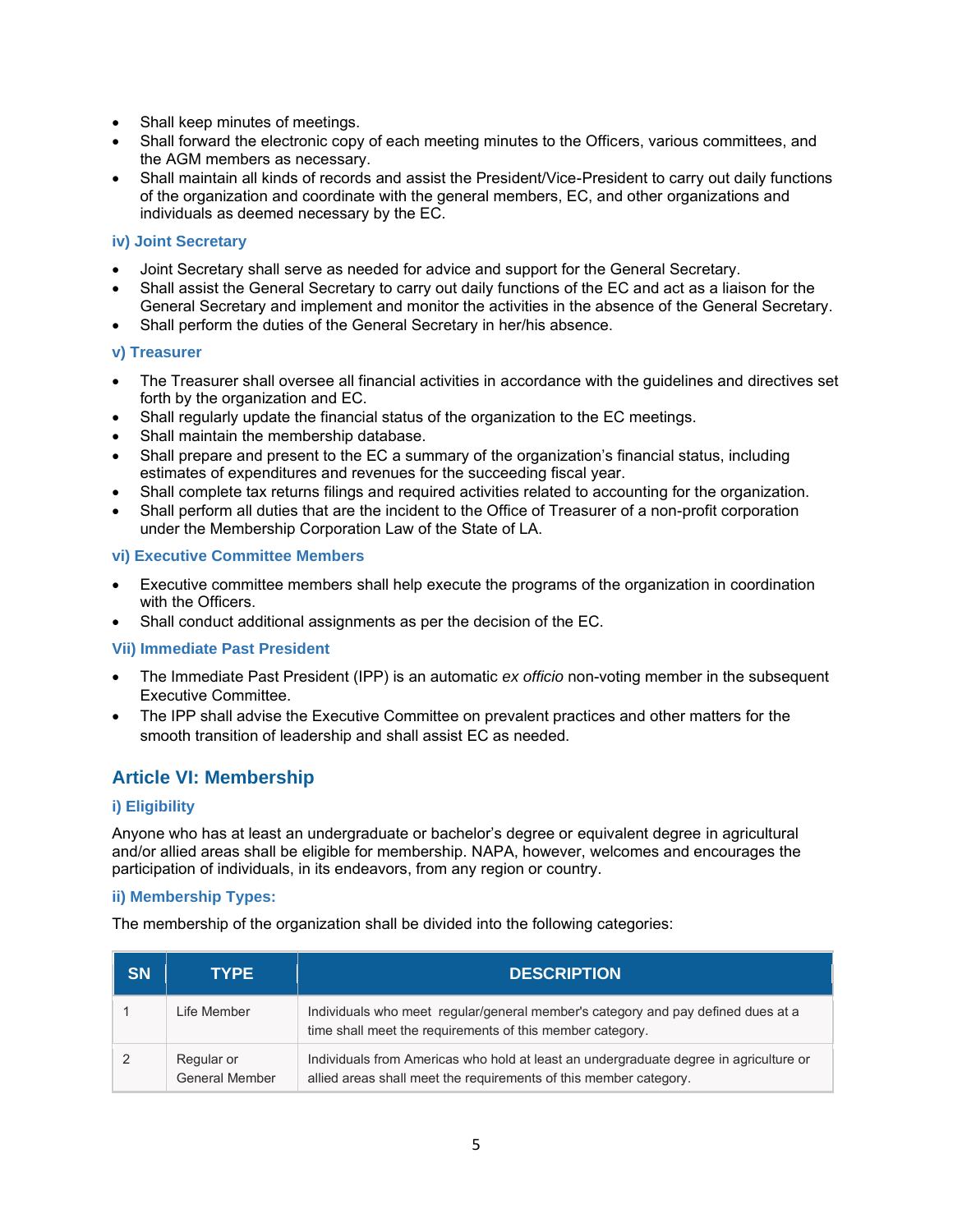- Shall keep minutes of meetings.
- Shall forward the electronic copy of each meeting minutes to the Officers, various committees, and the AGM members as necessary.
- Shall maintain all kinds of records and assist the President/Vice-President to carry out daily functions of the organization and coordinate with the general members, EC, and other organizations and individuals as deemed necessary by the EC.

## **iv) Joint Secretary**

- Joint Secretary shall serve as needed for advice and support for the General Secretary.
- Shall assist the General Secretary to carry out daily functions of the EC and act as a liaison for the General Secretary and implement and monitor the activities in the absence of the General Secretary.
- Shall perform the duties of the General Secretary in her/his absence.

## **v) Treasurer**

- The Treasurer shall oversee all financial activities in accordance with the guidelines and directives set forth by the organization and EC.
- Shall regularly update the financial status of the organization to the EC meetings.
- Shall maintain the membership database.
- Shall prepare and present to the EC a summary of the organization's financial status, including estimates of expenditures and revenues for the succeeding fiscal year.
- Shall complete tax returns filings and required activities related to accounting for the organization.
- Shall perform all duties that are the incident to the Office of Treasurer of a non-profit corporation under the Membership Corporation Law of the State of LA.

## **vi) Executive Committee Members**

- Executive committee members shall help execute the programs of the organization in coordination with the Officers.
- Shall conduct additional assignments as per the decision of the EC.

#### **Vii) Immediate Past President**

- The Immediate Past President (IPP) is an automatic *ex officio* non-voting member in the subsequent Executive Committee.
- The IPP shall advise the Executive Committee on prevalent practices and other matters for the smooth transition of leadership and shall assist EC as needed.

## **Article VI: Membership**

## **i) Eligibility**

Anyone who has at least an undergraduate or bachelor's degree or equivalent degree in agricultural and/or allied areas shall be eligible for membership. NAPA, however, welcomes and encourages the participation of individuals, in its endeavors, from any region or country.

#### **ii) Membership Types:**

The membership of the organization shall be divided into the following categories:

| <b>SN</b> | <b>TYPE</b>                         | <b>DESCRIPTION</b>                                                                                                                                         |
|-----------|-------------------------------------|------------------------------------------------------------------------------------------------------------------------------------------------------------|
|           | Life Member                         | Individuals who meet regular/general member's category and pay defined dues at a<br>time shall meet the requirements of this member category.              |
|           | Regular or<br><b>General Member</b> | Individuals from Americas who hold at least an undergraduate degree in agriculture or<br>allied areas shall meet the requirements of this member category. |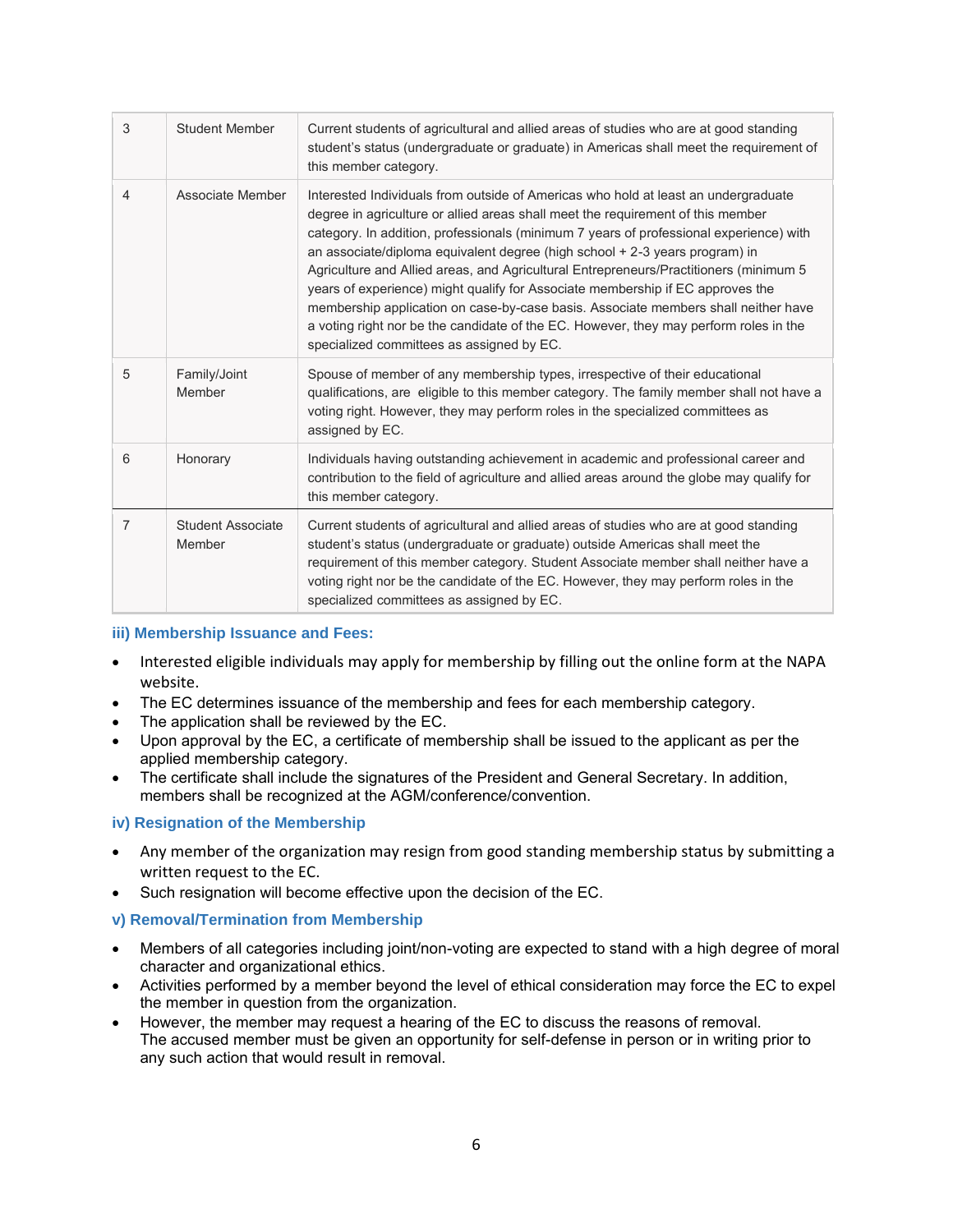| 3              | <b>Student Member</b>       | Current students of agricultural and allied areas of studies who are at good standing<br>student's status (undergraduate or graduate) in Americas shall meet the requirement of<br>this member category.                                                                                                                                                                                                                                                                                                                                                                                                                                                                                                                                               |
|----------------|-----------------------------|--------------------------------------------------------------------------------------------------------------------------------------------------------------------------------------------------------------------------------------------------------------------------------------------------------------------------------------------------------------------------------------------------------------------------------------------------------------------------------------------------------------------------------------------------------------------------------------------------------------------------------------------------------------------------------------------------------------------------------------------------------|
| $\overline{4}$ | Associate Member            | Interested Individuals from outside of Americas who hold at least an undergraduate<br>degree in agriculture or allied areas shall meet the requirement of this member<br>category. In addition, professionals (minimum 7 years of professional experience) with<br>an associate/diploma equivalent degree (high school + 2-3 years program) in<br>Agriculture and Allied areas, and Agricultural Entrepreneurs/Practitioners (minimum 5)<br>years of experience) might qualify for Associate membership if EC approves the<br>membership application on case-by-case basis. Associate members shall neither have<br>a voting right nor be the candidate of the EC. However, they may perform roles in the<br>specialized committees as assigned by EC. |
| 5              | Family/Joint<br>Member      | Spouse of member of any membership types, irrespective of their educational<br>qualifications, are eligible to this member category. The family member shall not have a<br>voting right. However, they may perform roles in the specialized committees as<br>assigned by EC.                                                                                                                                                                                                                                                                                                                                                                                                                                                                           |
| 6              | Honorary                    | Individuals having outstanding achievement in academic and professional career and<br>contribution to the field of agriculture and allied areas around the globe may qualify for<br>this member category.                                                                                                                                                                                                                                                                                                                                                                                                                                                                                                                                              |
| $\overline{7}$ | Student Associate<br>Member | Current students of agricultural and allied areas of studies who are at good standing<br>student's status (undergraduate or graduate) outside Americas shall meet the<br>requirement of this member category. Student Associate member shall neither have a<br>voting right nor be the candidate of the EC. However, they may perform roles in the<br>specialized committees as assigned by EC.                                                                                                                                                                                                                                                                                                                                                        |

#### **iii) Membership Issuance and Fees:**

- Interested eligible individuals may apply for membership by filling out the online form at the NAPA website.
- The EC determines issuance of the membership and fees for each membership category.
- The application shall be reviewed by the EC.
- Upon approval by the EC, a certificate of membership shall be issued to the applicant as per the applied membership category.
- The certificate shall include the signatures of the President and General Secretary. In addition, members shall be recognized at the AGM/conference/convention.

#### **iv) Resignation of the Membership**

- Any member of the organization may resign from good standing membership status by submitting a written request to the EC.
- Such resignation will become effective upon the decision of the EC.

#### **v) Removal/Termination from Membership**

- Members of all categories including joint/non-voting are expected to stand with a high degree of moral character and organizational ethics.
- Activities performed by a member beyond the level of ethical consideration may force the EC to expel the member in question from the organization.
- However, the member may request a hearing of the EC to discuss the reasons of removal. The accused member must be given an opportunity for self-defense in person or in writing prior to any such action that would result in removal.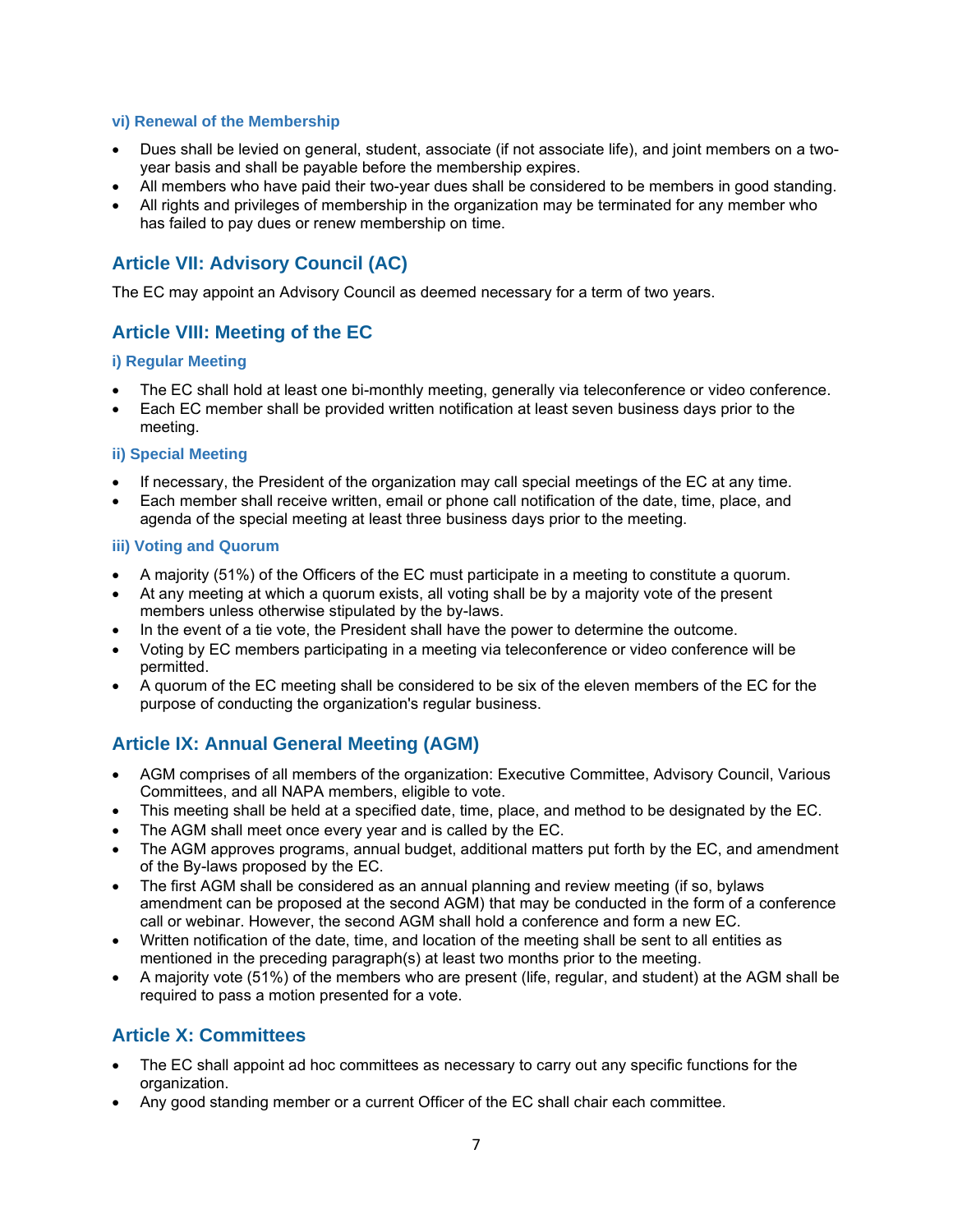#### **vi) Renewal of the Membership**

- Dues shall be levied on general, student, associate (if not associate life), and joint members on a twoyear basis and shall be payable before the membership expires.
- All members who have paid their two-year dues shall be considered to be members in good standing.
- All rights and privileges of membership in the organization may be terminated for any member who has failed to pay dues or renew membership on time.

## **Article VII: Advisory Council (AC)**

The EC may appoint an Advisory Council as deemed necessary for a term of two years.

## **Article VIII: Meeting of the EC**

#### **i) Regular Meeting**

- The EC shall hold at least one bi-monthly meeting, generally via teleconference or video conference.
- Each EC member shall be provided written notification at least seven business days prior to the meeting.

#### **ii) Special Meeting**

- If necessary, the President of the organization may call special meetings of the EC at any time.
- Each member shall receive written, email or phone call notification of the date, time, place, and agenda of the special meeting at least three business days prior to the meeting.

#### **iii) Voting and Quorum**

- A majority (51%) of the Officers of the EC must participate in a meeting to constitute a quorum.
- At any meeting at which a quorum exists, all voting shall be by a majority vote of the present members unless otherwise stipulated by the by-laws.
- In the event of a tie vote, the President shall have the power to determine the outcome.
- Voting by EC members participating in a meeting via teleconference or video conference will be permitted.
- A quorum of the EC meeting shall be considered to be six of the eleven members of the EC for the purpose of conducting the organization's regular business.

## **Article IX: Annual General Meeting (AGM)**

- AGM comprises of all members of the organization: Executive Committee, Advisory Council, Various Committees, and all NAPA members, eligible to vote.
- This meeting shall be held at a specified date, time, place, and method to be designated by the EC.
- The AGM shall meet once every year and is called by the EC.
- The AGM approves programs, annual budget, additional matters put forth by the EC, and amendment of the By-laws proposed by the EC.
- The first AGM shall be considered as an annual planning and review meeting (if so, bylaws amendment can be proposed at the second AGM) that may be conducted in the form of a conference call or webinar. However, the second AGM shall hold a conference and form a new EC.
- Written notification of the date, time, and location of the meeting shall be sent to all entities as mentioned in the preceding paragraph(s) at least two months prior to the meeting.
- A majority vote (51%) of the members who are present (life, regular, and student) at the AGM shall be required to pass a motion presented for a vote.

## **Article X: Committees**

- The EC shall appoint ad hoc committees as necessary to carry out any specific functions for the organization.
- Any good standing member or a current Officer of the EC shall chair each committee.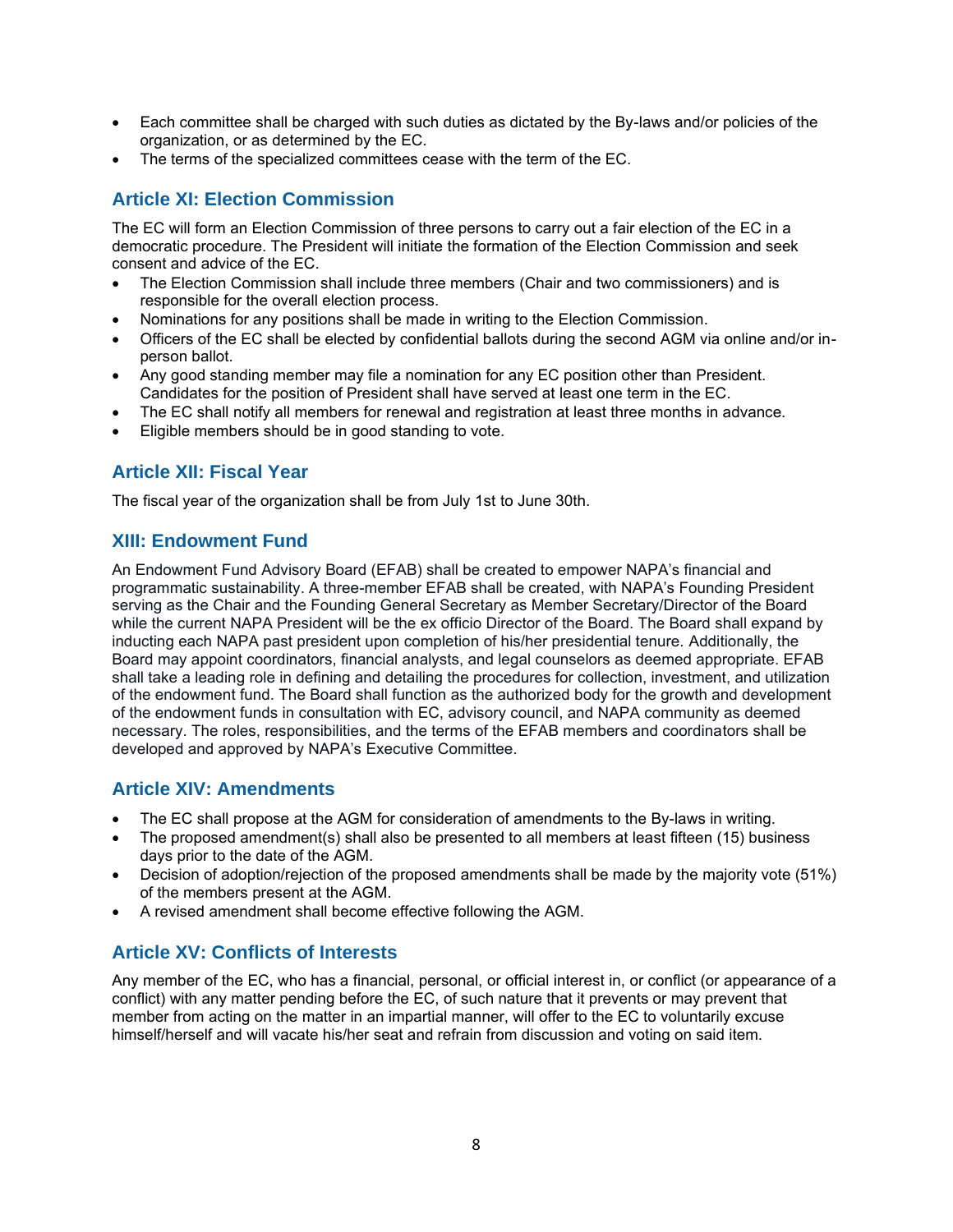- Each committee shall be charged with such duties as dictated by the By-laws and/or policies of the organization, or as determined by the EC.
- The terms of the specialized committees cease with the term of the EC.

## **Article XI: Election Commission**

The EC will form an Election Commission of three persons to carry out a fair election of the EC in a democratic procedure. The President will initiate the formation of the Election Commission and seek consent and advice of the EC.

- The Election Commission shall include three members (Chair and two commissioners) and is responsible for the overall election process.
- Nominations for any positions shall be made in writing to the Election Commission.
- Officers of the EC shall be elected by confidential ballots during the second AGM via online and/or inperson ballot.
- Any good standing member may file a nomination for any EC position other than President. Candidates for the position of President shall have served at least one term in the EC.
- The EC shall notify all members for renewal and registration at least three months in advance.
- Eligible members should be in good standing to vote.

## **Article XII: Fiscal Year**

The fiscal year of the organization shall be from July 1st to June 30th.

## **XIII: Endowment Fund**

An Endowment Fund Advisory Board (EFAB) shall be created to empower NAPA's financial and programmatic sustainability. A three-member EFAB shall be created, with NAPA's Founding President serving as the Chair and the Founding General Secretary as Member Secretary/Director of the Board while the current NAPA President will be the ex officio Director of the Board. The Board shall expand by inducting each NAPA past president upon completion of his/her presidential tenure. Additionally, the Board may appoint coordinators, financial analysts, and legal counselors as deemed appropriate. EFAB shall take a leading role in defining and detailing the procedures for collection, investment, and utilization of the endowment fund. The Board shall function as the authorized body for the growth and development of the endowment funds in consultation with EC, advisory council, and NAPA community as deemed necessary. The roles, responsibilities, and the terms of the EFAB members and coordinators shall be developed and approved by NAPA's Executive Committee.

## **Article XIV: Amendments**

- The EC shall propose at the AGM for consideration of amendments to the By-laws in writing.
- The proposed amendment(s) shall also be presented to all members at least fifteen (15) business days prior to the date of the AGM.
- Decision of adoption/rejection of the proposed amendments shall be made by the majority vote (51%) of the members present at the AGM.
- A revised amendment shall become effective following the AGM.

## **Article XV: Conflicts of Interests**

Any member of the EC, who has a financial, personal, or official interest in, or conflict (or appearance of a conflict) with any matter pending before the EC, of such nature that it prevents or may prevent that member from acting on the matter in an impartial manner, will offer to the EC to voluntarily excuse himself/herself and will vacate his/her seat and refrain from discussion and voting on said item.